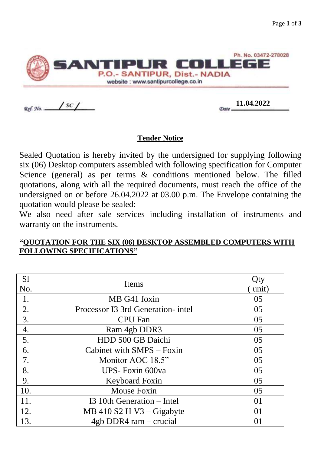

Ref. No. ..

 $\frac{11.04.2022}{2000}$ 

## **Tender Notice**

Sealed Quotation is hereby invited by the undersigned for supplying following six (06) Desktop computers assembled with following specification for Computer Science (general) as per terms & conditions mentioned below. The filled quotations, along with all the required documents, must reach the office of the undersigned on or before 26.04.2022 at 03.00 p.m. The Envelope containing the quotation would please be sealed:

We also need after sale services including installation of instruments and warranty on the instruments.

| S <sub>1</sub> | <b>Items</b>                       | Qty   |
|----------------|------------------------------------|-------|
| No.            |                                    | unit) |
| 1.             | MB G41 foxin                       | 05    |
| 2.             | Processor I3 3rd Generation- intel | 05    |
| 3.             | <b>CPU</b> Fan                     | 05    |
| 4.             | Ram 4gb DDR3                       | 05    |
| 5.             | HDD 500 GB Daichi                  | 05    |
| 6.             | Cabinet with SMPS - Foxin          | 05    |
| 7.             | Monitor AOC 18.5"                  | 05    |
| 8.             | UPS-Foxin 600va                    | 05    |
| 9.             | Keyboard Foxin                     | 05    |
| 10.            | <b>Mouse Foxin</b>                 | 05    |
| 11.            | I3 10th Generation – Intel         | 01    |
| 12.            | MB 410 S2 H V3 – Gigabyte          | 01    |
| 13.            | 4gb DDR4 ram – crucial             | 01    |

## **"QUOTATION FOR THE SIX (06) DESKTOP ASSEMBLED COMPUTERS WITH FOLLOWING SPECIFICATIONS"**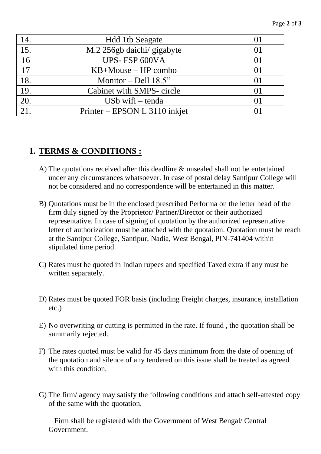| 14. | <b>Hdd 1tb Seagate</b>        |          |
|-----|-------------------------------|----------|
| 15. | M.2 256gb daichi/ gigabyte    |          |
| 16  | UPS-FSP 600VA                 | $\Omega$ |
| 17  | $KB+Mouse - HP$ combo         |          |
| 18. | Monitor – Dell $18.5"$        | 01       |
| 19. | Cabinet with SMPS- circle     |          |
| 20. | US $b$ wifi – tenda           |          |
|     | Printer – EPSON L 3110 inkjet |          |

## **1. TERMS & CONDITIONS :**

- A) The quotations received after this deadline & unsealed shall not be entertained under any circumstances whatsoever. In case of postal delay Santipur College will not be considered and no correspondence will be entertained in this matter.
- B) Quotations must be in the enclosed prescribed Performa on the letter head of the firm duly signed by the Proprietor/ Partner/Director or their authorized representative. In case of signing of quotation by the authorized representative letter of authorization must be attached with the quotation. Quotation must be reach at the Santipur College, Santipur, Nadia, West Bengal, PIN-741404 within stipulated time period.
- C) Rates must be quoted in Indian rupees and specified Taxed extra if any must be written separately.
- D) Rates must be quoted FOR basis (including Freight charges, insurance, installation etc.)
- E) No overwriting or cutting is permitted in the rate. If found , the quotation shall be summarily rejected.
- F) The rates quoted must be valid for 45 days minimum from the date of opening of the quotation and silence of any tendered on this issue shall be treated as agreed with this condition.
- G) The firm/ agency may satisfy the following conditions and attach self-attested copy of the same with the quotation.

 Firm shall be registered with the Government of West Bengal/ Central Government.